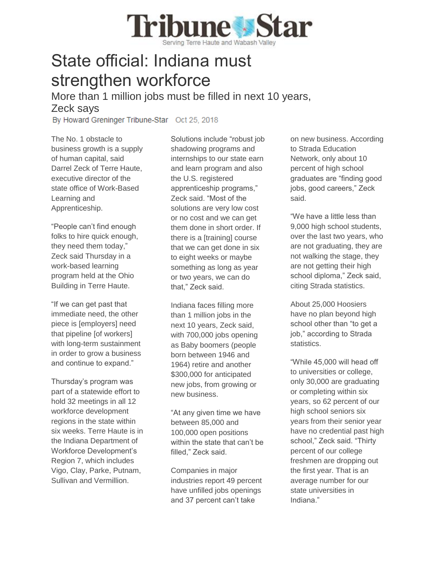## **Tribune Star** erving Terre Haute and Wabash Valley

## State official: Indiana must strengthen workforce

More than 1 million jobs must be filled in next 10 years, Zeck says

By Howard Greninger Tribune-Star Oct 25, 2018

The No. 1 obstacle to business growth is a supply of human capital, said Darrel Zeck of Terre Haute, executive director of the state office of Work-Based Learning and Apprenticeship.

"People can't find enough folks to hire quick enough, they need them today," Zeck said Thursday in a work-based learning program held at the Ohio Building in Terre Haute.

"If we can get past that immediate need, the other piece is [employers] need that pipeline [of workers] with long-term sustainment in order to grow a business and continue to expand."

Thursday's program was part of a statewide effort to hold 32 meetings in all 12 workforce development regions in the state within six weeks. Terre Haute is in the Indiana Department of Workforce Development's Region 7, which includes Vigo, Clay, Parke, Putnam, Sullivan and Vermillion.

Solutions include "robust job shadowing programs and internships to our state earn and learn program and also the U.S. registered apprenticeship programs," Zeck said. "Most of the solutions are very low cost or no cost and we can get them done in short order. If there is a [training] course that we can get done in six to eight weeks or maybe something as long as year or two years, we can do that," Zeck said.

Indiana faces filling more than 1 million jobs in the next 10 years, Zeck said, with 700,000 jobs opening as Baby boomers (people born between 1946 and 1964) retire and another \$300,000 for anticipated new jobs, from growing or new business.

"At any given time we have between 85,000 and 100,000 open positions within the state that can't be filled," Zeck said.

Companies in major industries report 49 percent have unfilled jobs openings and 37 percent can't take

on new business. According to Strada Education Network, only about 10 percent of high school graduates are "finding good jobs, good careers," Zeck said.

"We have a little less than 9,000 high school students, over the last two years, who are not graduating, they are not walking the stage, they are not getting their high school diploma," Zeck said, citing Strada statistics.

About 25,000 Hoosiers have no plan beyond high school other than "to get a job," according to Strada statistics.

"While 45,000 will head off to universities or college, only 30,000 are graduating or completing within six years, so 62 percent of our high school seniors six years from their senior year have no credential past high school," Zeck said. "Thirty percent of our college freshmen are dropping out the first year. That is an average number for our state universities in Indiana."